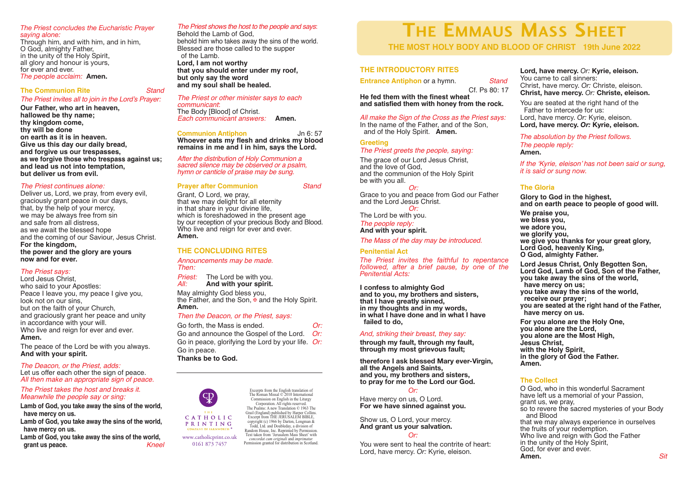#### *The Priest concludes the Eucharistic Prayer saying alone:*

Through him, and with him, and in him, O God, almighty Father, in the unity of the Holy Spirit, all glory and honour is yours, for ever and ever. *The people acclaim:* **Amen.**

### **The Communion Rite** *Stand*

*The Priest invites all to join in the Lord's Prayer:*

**Our Father, who art in heaven, hallowed be thy name; thy kingdom come, thy will be done on earth as it is in heaven. Give us this day our daily bread, and forgive us our trespasses, as we forgive those who trespass against us; and lead us not into temptation, but deliver us from evil.**

### *The Priest continues alone:*

Deliver us, Lord, we pray, from every evil, graciously grant peace in our days, that, by the help of your mercy, we may be always free from sin and safe from all distress, as we await the blessed hope and the coming of our Saviour, Jesus Christ. **For the kingdom, the power and the glory are yours now and for ever.**

# *The Priest says:*

Lord Jesus Christ, who said to your Apostles: Peace I leave you, my peace I give you. look not on our sins, but on the faith of your Church, and graciously grant her peace and unity in accordance with your will. Who live and reign for ever and ever. **Amen.**

The peace of the Lord be with you always. **And with your spirit.**

*The Deacon, or the Priest, adds:* Let us offer each other the sign of peace. *All then make an appropriate sign of peace.*

### *The Priest takes the host and breaks it. Meanwhile the people say or sing:*

**Lamb of God, you take away the sins of the world, have mercy on us.**

**Lamb of God, you take away the sins of the world, have mercy on us.**

**Lamb of God, you take away the sins of the world, grant us peace.** *Kneel*

# *The Priest shows the host to the people and says*:

Behold the Lamb of God, behold him who takes away the sins of the world. Blessed are those called to the supper of the Lamb. **Lord, I am not worthy that you should enter under my roof, but only say the word and my soul shall be healed.**

*The Priest or other minister says to each communicant*: The Body [Blood] of Christ. *Each communicant answers:* **Amen.**

#### **Communion Antiphon** Jn 6: 57 **Whoever eats my flesh and drinks my blood remains in me and I in him, says the Lord.**

*After the distribution of Holy Communion a sacred silence may be observed or <sup>a</sup> psalm, hymn or canticle of praise may be sung.*

### **Prayer after Communion** *Stand*

Grant, O Lord, we pray, that we may delight for all eternity in that share in your divine life, which is foreshadowed in the present age by our reception of your precious Body and Blood. Who live and reign for ever and ever. **Amen.**

# **THE CONCLUDING RITES**

*Announcements may be made. Then:*

*Priest:* The Lord be with you. *All:* **And with your spirit.**

May almighty God bless you, the Father, and the Son,  $\overline{\mathbf{F}}$  and the Holy Spirit. **Amen.**

# *Then the Deacon, or the Priest, says:*

Go forth, the Mass is ended. *Or:* Go and announce the Gospel of the Lord. *Or:* Go in peace, glorifying the Lord by your life. *Or:* Go in peace. **Thanks be to God.**

Corporation. All rights reserved. The Psalms: A new Translation © 1963 The Grail (England) published by Harper Collins. Excerpt from THE JERUSALEM BIBLE, copyright (c) 1966 by Darton, Longman & Todd, Ltd. and Doubleday, a division of Random House, Inc. Reprinted by Permission. Text taken from 'Jerusalem Mass Sheet' with *concordat cum originali* and *imprimatur.* Permission granted for distribution in Scotland. www.catholicprint.co.uk

Excerpts from the English translation of The Roman Missal © 2010 International Commission on English in the Liturgy

# **THE EMMAUS MASS SHEET**

**THE MOST HOLY BODY AND BLOOD OF CHRIST 19th June 2022**

# **THE INTRODUCTORY RITES**

**Entrance Antiphon** or a hymn. *Stand*

Cf. Ps 80: 17 **He fed them with the finest wheat**

**and satisfied them with honey from the rock.**

*All make the Sign of the Cross as the Priest says:* In the name of the Father, and of the Son, and of the Holy Spirit. **Amen.**

# **Greeting** *The Priest greets the people, saying:*

The grace of our Lord Jesus Christ, and the love of God, and the communion of the Holy Spirit be with you all. *Or:*

Grace to you and peace from God our Father and the Lord Jesus Christ. *Or:*

The Lord be with you.<br>The people reply:

*The people reply:* **And with your spirit.**

*The Mass of the day may be introduced.*

# **Penitential Act**

*The Priest invites the faithful to repentance followed, after a brief pause, by one of the Penitential Acts:*

**I confess to almighty God** that I have greatly sinned,<br>in my thoughts and in my words,<br>in what I have done and in what I have **failed to do,**

# *And, striking their breast, they say:*

**through my fault, through my fault, through my most grievous fault;**

**therefore I ask blessed Mary ever-Virgin, all the Angels and Saints, and you, my brothers and sisters, to pray for me to the Lord our God.**

*Or:* Have mercy on us, O Lord. **For we have sinned against you.**

Show us, O Lord, your mercy. **And grant us your salvation.**

# *Or:*

You were sent to heal the contrite of heart: Lord, have mercy. *Or:* Kyrie, eleison.

**Lord, have mercy.** *Or:* **Kyrie, eleison.** You came to call sinners: Christ, have mercy. *Or:* Christe, eleison. **Christ, have mercy.** *Or:* **Christe, eleison.**

You are seated at the right hand of the Father to intercede for us: Lord, have mercy. *Or:* Kyrie, eleison. **Lord, have mercy.** *Or:* **Kyrie, eleison.**

#### *The absolution by the Priest follows. The people reply:*

**Amen.**

*If the 'Kyrie, eleison' has not been said or sung, it is said or sung now.*

# **The Gloria**

**Glory to God in the highest, and on earth peace to people of good will.**

**We praise you, we bless you, we adore you, we glorify you, we give you thanks for your great glory, Lord God, heavenly King, O God, almighty Father.**

Lord Jesus Christ, Only Begotten Son,<br>Lord God, Lamb of God, Son of the Father,<br>you take away the sins of the world,<br>have mercy on us: **you take away the sins of the world, receive our prayer; you are seated at the right hand of the Father, have mercy on us. For you alone are the Holy One,**

**you alone are the Lord, you alone are the Most High, Jesus Christ, with the Holy Spirit, in the glory of God the Father. Amen.**

# **The Collect**

O God, who in this wonderful Sacrament<br>have left us a memorial of your Passion. grant us, we pray,<br>so to revere the sacred mysteries of your Body and Blood that we may always experience in ourselves<br>the fruits of your redemption. Who live and reign with God the Father in the unity of the Holy Spirit, God, for ever and ever. **Amen.** *Sit*



0161 873 7457